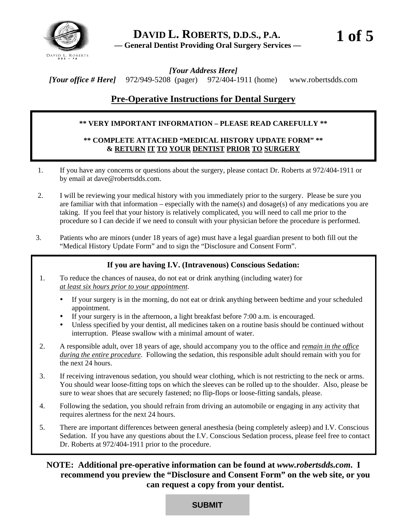

*[Your Address Here] [Your office # Here]* 972/949-5208 (pager)972/404-1911 (home) [www.robertsdds.com](http://www.robertsdds.com/) 

# **Pre-Operative Instructions for Dental Surgery**

# **\*\* VERY IMPORTANT INFORMATION – PLEASE READ CAREFULLY \*\***

# **\*\* COMPLETE ATTACHED "MEDICAL HISTORY UPDATE FORM" \*\* & RETURN IT TO YOUR DENTIST PRIOR TO SURGERY**

- 1. If you have any concerns or questions about the surgery, please contact Dr. Roberts at 972/404-1911 or by email at dave@robertsdds.com.
- 2. I will be reviewing your medical history with you immediately prior to the surgery. Please be sure you are familiar with that information – especially with the name(s) and dosage(s) of any medications you are taking. If you feel that your history is relatively complicated, you will need to call me prior to the procedure so I can decide if we need to consult with your physician before the procedure is performed.
- 3. Patients who are minors (under 18 years of age) must have a legal guardian present to both fill out the "Medical History Update Form" and to sign the "Disclosure and Consent Form".

# **If you are having I.V. (Intravenous) Conscious Sedation:**

- 1. To reduce the chances of nausea, do not eat or drink anything (including water) for *at least six hours prior to your appointment*.
	- If your surgery is in the morning, do not eat or drink anything between bedtime and your scheduled appointment.
	- If your surgery is in the afternoon, a light breakfast before 7:00 a.m. is encouraged.
	- Unless specified by your dentist, all medicines taken on a routine basis should be continued without interruption. Please swallow with a minimal amount of water.
- 2. A responsible adult, over 18 years of age, should accompany you to the office and *remain in the office during the entire procedure*. Following the sedation, this responsible adult should remain with you for the next 24 hours.
- 3. If receiving intravenous sedation, you should wear clothing, which is not restricting to the neck or arms. You should wear loose-fitting tops on which the sleeves can be rolled up to the shoulder. Also, please be sure to wear shoes that are securely fastened; no flip-flops or loose-fitting sandals, please.
- 4. Following the sedation, you should refrain from driving an automobile or engaging in any activity that requires alertness for the next 24 hours.
- 5. There are important differences between general anesthesia (being completely asleep) and I.V. Conscious Sedation. If you have any questions about the I.V. Conscious Sedation process, please feel free to contact Dr. Roberts at 972/404-1911 prior to the procedure.

**NOTE: Additional pre-operative information can be found at** *[www.robertsdds.com](http://www.robertsdds.com/)***. I recommend you preview the "Disclosure and Consent Form" on the web site, or you can request a copy from your dentist.**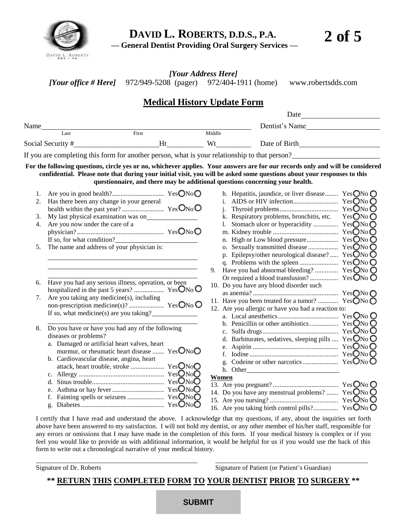

*[Your Address Here] [Your office # Here]* 972/949-5208 (pager)972/404-1911 (home) [www.robertsdds.com](http://www.robertsdds.com/)

# **Medical History Update Form**

|                   |                                                                                                             |    |        | Date                                                                                                                                                                                                                                                                                                                                      |
|-------------------|-------------------------------------------------------------------------------------------------------------|----|--------|-------------------------------------------------------------------------------------------------------------------------------------------------------------------------------------------------------------------------------------------------------------------------------------------------------------------------------------------|
| Name              |                                                                                                             |    |        | Dentist's Name                                                                                                                                                                                                                                                                                                                            |
|                   | First<br>Last                                                                                               |    | Middle |                                                                                                                                                                                                                                                                                                                                           |
| Social Security # |                                                                                                             | Ht | Wt     | Date of Birth                                                                                                                                                                                                                                                                                                                             |
|                   |                                                                                                             |    |        | If you are completing this form for another person, what is your relationship to that person?                                                                                                                                                                                                                                             |
|                   |                                                                                                             |    |        | For the following questions, circle yes or no, whichever applies. Your answers are for our records only and will be considered<br>confidential. Please note that during your initial visit, you will be asked some questions about your responses to this<br>questionnaire, and there may be additional questions concerning your health. |
| 2.<br>3.          | Has there been any change in your general                                                                   |    |        | Yes $\bigcirc$ No $\bigcirc$<br>h. Hepatitis, jaundice, or liver disease<br>YesONo O<br>k. Respiratory problems, bronchitis, etc.                                                                                                                                                                                                         |
|                   | Are you now under the care of a<br>If so, for what condition?<br>The name and address of your physician is: |    |        | YesONo                                                                                                                                                                                                                                                                                                                                    |

| 6. Have you had any serious illness, operation, or been |  |
|---------------------------------------------------------|--|
|                                                         |  |
| Are you taking any medicine(s) including                |  |

| $\ldots$ and you taking any incurding $\ldots$ , increasing |  |
|-------------------------------------------------------------|--|
|                                                             |  |
| If so, what medicine(s) are you taking?                     |  |

- 8. Do you have or have you had any of the following diseases or problems?
	- a. Damaged or artificial heart valves, heart murmur, or rheumatic heart disease .......  $YesONo$ b. Cardiovascular disease, angina, heart attack, heart trouble, stroke .................... Yes No
		- c. Allergy ................................................... Yes No d. Sinus trouble........................................... Yes No e. Asthma or hay fever............................... Yes No f. Fainting spells or seizures ...................... Yes No
		- g. Diabetes.................................................. Yes No

|     | k. Respiratory problems, bronchitis, etc. Yes $\bigcirc$ No $\bigcirc$ |          |  |
|-----|------------------------------------------------------------------------|----------|--|
|     | Stomach ulcer or hyperacidity  YesONoO<br>1.                           |          |  |
|     |                                                                        | YesONo   |  |
|     | n. High or Low blood pressure                                          | YesONo   |  |
|     | o. Sexually transmitted disease                                        | YesONo O |  |
|     | p. Epilepsy/other neurological disease? $YesONo$                       |          |  |
|     |                                                                        |          |  |
| 9.  | Have you had abnormal bleeding?  Yes ONo O                             |          |  |
|     |                                                                        |          |  |
| 10. | Do you have any blood disorder such                                    |          |  |
|     |                                                                        |          |  |
| 11. | Have you been treated for a tumor?  Yes $\bigcirc$ No $\bigcirc$       |          |  |
|     | 12. Are you allergic or have you had a reaction to:                    |          |  |
|     |                                                                        |          |  |
|     |                                                                        |          |  |
|     |                                                                        |          |  |
|     | d. Barbiturates, sedatives, sleeping pills  YesONo O                   |          |  |
|     |                                                                        |          |  |
|     | f.                                                                     |          |  |
|     |                                                                        |          |  |
|     | h. Other                                                               |          |  |
|     | Women                                                                  |          |  |
|     |                                                                        |          |  |
|     | 14. Do you have any menstrual problems? $YesONo\ddot{\bigcirc}$        |          |  |

## **Women**

| 14. Do you have any menstrual problems?  YesONo O |  |
|---------------------------------------------------|--|
|                                                   |  |
|                                                   |  |

I certify that I have read and understand the above. I acknowledge that my questions, if any, about the inquiries set forth above have been answered to my satisfaction. I will not hold my dentist, or any other member of his/her staff, responsible for any errors or omissions that I may have made in the completion of this form. If your medical history is complex or if you feel you would like to provide us with additional information, it would be helpful for us if you would use the back of this form to write out a chronological narrative of your medical history.

Signature of Dr. Roberts Signature of Patient (or Patient's Guardian)

# **\*\* RETURN THIS COMPLETED FORM TO YOUR DENTIST PRIOR TO SURGERY \*\***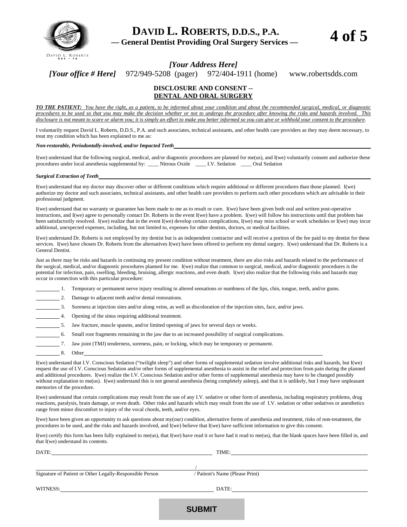

*[Your Address Here]* 

*[Your office # Here]* 972/949-5208 (pager)972/404-1911 (home) [www.robertsdds.com](http://www.robertsdds.com/) 

#### **DISCLOSURE AND CONSENT -- DENTAL AND ORAL SURGERY**

*TO THE PATIENT: You have the right, as a patient, to be informed about your condition and about the recommended surgical, medical, or diagnostic procedures to be used so that you may make the decision whether or not to undergo the procedure after knowing the risks and hazards involved. This disclosure is not meant to scare or alarm you; it is simply an effort to make you better informed so you can give or withhold your consent to the procedure.* 

I voluntarily request David L. Roberts, D.D.S., P.A. and such associates, technical assistants, and other health care providers as they may deem necessary, to treat my condition which has been explained to me as:

#### *Non-restorable, Periodontally-involved, and/or Impacted Teeth*

I(we) understand that the following surgical, medical, and/or diagnostic procedures are planned for me(us), and I(we) voluntarily consent and authorize these procedures under local anesthesia supplemental by: \_\_\_\_ Nitrous Oxide \_\_\_\_ I.V. Sedation \_\_\_\_ Oral Sedation

#### *Surgical Extraction of Teeth*

I(we) understand that my doctor may discover other or different conditions which require additional or different procedures than those planned. I(we) authorize my doctor and such associates, technical assistants, and other health care providers to perform such other procedures which are advisable in their professional judgment.

I(we) understand that no warranty or guarantee has been made to me as to result or cure. I(we) have been given both oral and written post-operative instructions, and I(we) agree to personally contact Dr. Roberts in the event I(we) have a problem. I(we) will follow his instructions until that problem has been satisfactorily resolved. I(we) realize that in the event I(we) develop certain complications, I(we) may miss school or work schedules or I(we) may incur additional, unexpected expenses, including, but not limited to, expenses for other dentists, doctors, or medical facilities.

I(we) understand Dr. Roberts is not employed by my dentist but is an independent contractor and will receive a portion of the fee paid to my dentist for these services. I(we) have chosen Dr. Roberts from the alternatives I(we) have been offered to perform my dental surgery. I(we) understand that Dr. Roberts is a General Dentist.

Just as there may be risks and hazards in continuing my present condition without treatment, there are also risks and hazards related to the performance of the surgical, medical, and/or diagnostic procedures planned for me. I(we) realize that common to surgical, medical, and/or diagnostic procedures is the potential for infection, pain, swelling, bleeding, bruising, allergic reactions, and even death. I(we) also realize that the following risks and hazards may occur in connection with this particular procedure:

- 1. Temporary or permanent nerve injury resulting in altered sensations or numbness of the lips, chin, tongue, teeth, and/or gums.
- 2. Damage to adjacent teeth and/or dental restorations.
	- 3. Soreness at injection sites and/or along veins, as well as discoloration of the injection sites, face, and/or jaws.
- 4. Opening of the sinus requiring additional treatment.
	- 5. Jaw fracture, muscle spasms, and/or limited opening of jaws for several days or weeks.
	- 6. Small root fragments remaining in the jaw due to an increased possibility of surgical complications.
- 7. Jaw joint (TMJ) tenderness, soreness, pain, or locking, which may be temporary or permanent.
- 8. Other

I(we) understand that I.V. Conscious Sedation ("twilight sleep") and other forms of supplemental sedation involve additional risks and hazards, but I(we) request the use of I.V. Conscious Sedation and/or other forms of supplemental anesthesia to assist in the relief and protection from pain during the planned and additional procedures. I(we) realize the I.V. Conscious Sedation and/or other forms of supplemental anesthesia may have to be changed possibly without explanation to me(us). I(we) understand this is not general anesthesia (being completely asleep), and that it is unlikely, but I may have unpleasant memories of the procedure.

I(we) understand that certain complications may result from the use of any I.V. sedative or other form of anesthesia, including respiratory problems, drug reactions, paralysis, brain damage, or even death. Other risks and hazards which may result from the use of I.V. sedation or other sedatives or anesthetics range from minor discomfort to injury of the vocal chords, teeth, and/or eyes.

I(we) have been given an opportunity to ask questions about my(our) condition, alternative forms of anesthesia and treatment, risks of non-treatment, the procedures to be used, and the risks and hazards involved, and I(we) believe that I(we) have sufficient information to give this consent.

I(we) certify this form has been fully explained to me(us), that I(we) have read it or have had it read to me(us), that the blank spaces have been filled in, and that I(we) understand its contents.

| DATE:                                                    | TIME:                           |  |
|----------------------------------------------------------|---------------------------------|--|
|                                                          |                                 |  |
|                                                          |                                 |  |
| Signature of Patient or Other Legally-Responsible Person | / Patient's Name (Please Print) |  |
|                                                          |                                 |  |
| WITNESS:                                                 | DATE:                           |  |
|                                                          |                                 |  |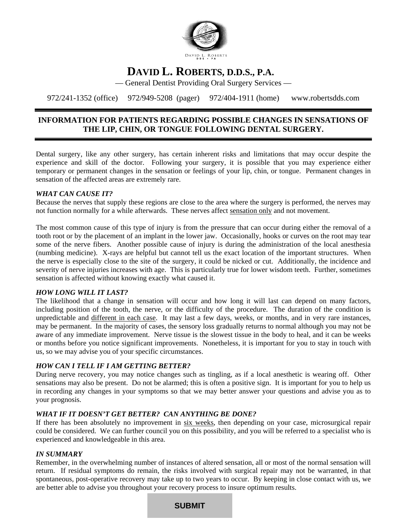

# **DAVID L. ROBERTS, D.D.S., P.A.**

— General Dentist Providing Oral Surgery Services —

972/241-1352 (office) 972/949-5208 (pager)972/404-1911 (home) [www.robertsdds.com](http://www.robertsdds.com/) 

# **INFORMATION FOR PATIENTS REGARDING POSSIBLE CHANGES IN SENSATIONS OF THE LIP, CHIN, OR TONGUE FOLLOWING DENTAL SURGERY.**

Dental surgery, like any other surgery, has certain inherent risks and limitations that may occur despite the experience and skill of the doctor. Following your surgery, it is possible that you may experience either temporary or permanent changes in the sensation or feelings of your lip, chin, or tongue. Permanent changes in sensation of the affected areas are extremely rare.

## *WHAT CAN CAUSE IT?*

Because the nerves that supply these regions are close to the area where the surgery is performed, the nerves may not function normally for a while afterwards. These nerves affect sensation only and not movement.

The most common cause of this type of injury is from the pressure that can occur during either the removal of a tooth root or by the placement of an implant in the lower jaw. Occasionally, hooks or curves on the root may tear some of the nerve fibers. Another possible cause of injury is during the administration of the local anesthesia (numbing medicine). X-rays are helpful but cannot tell us the exact location of the important structures. When the nerve is especially close to the site of the surgery, it could be nicked or cut. Additionally, the incidence and severity of nerve injuries increases with age. This is particularly true for lower wisdom teeth. Further, sometimes sensation is affected without knowing exactly what caused it.

### *HOW LONG WILL IT LAST?*

The likelihood that a change in sensation will occur and how long it will last can depend on many factors, including position of the tooth, the nerve, or the difficulty of the procedure. The duration of the condition is unpredictable and different in each case. It may last a few days, weeks, or months, and in very rare instances, may be permanent. In the majority of cases, the sensory loss gradually returns to normal although you may not be aware of any immediate improvement. Nerve tissue is the slowest tissue in the body to heal, and it can be weeks or months before you notice significant improvements. Nonetheless, it is important for you to stay in touch with us, so we may advise you of your specific circumstances.

## *HOW CAN I TELL IF I AM GETTING BETTER?*

During nerve recovery, you may notice changes such as tingling, as if a local anesthetic is wearing off. Other sensations may also be present. Do not be alarmed; this is often a positive sign. It is important for you to help us in recording any changes in your symptoms so that we may better answer your questions and advise you as to your prognosis.

### *WHAT IF IT DOESN'T GET BETTER? CAN ANYTHING BE DONE?*

If there has been absolutely no improvement in six weeks, then depending on your case, microsurgical repair could be considered. We can further council you on this possibility, and you will be referred to a specialist who is experienced and knowledgeable in this area.

### *IN SUMMARY*

Remember, in the overwhelming number of instances of altered sensation, all or most of the normal sensation will return. If residual symptoms do remain, the risks involved with surgical repair may not be warranted, in that spontaneous, post-operative recovery may take up to two years to occur. By keeping in close contact with us, we are better able to advise you throughout your recovery process to insure optimum results.